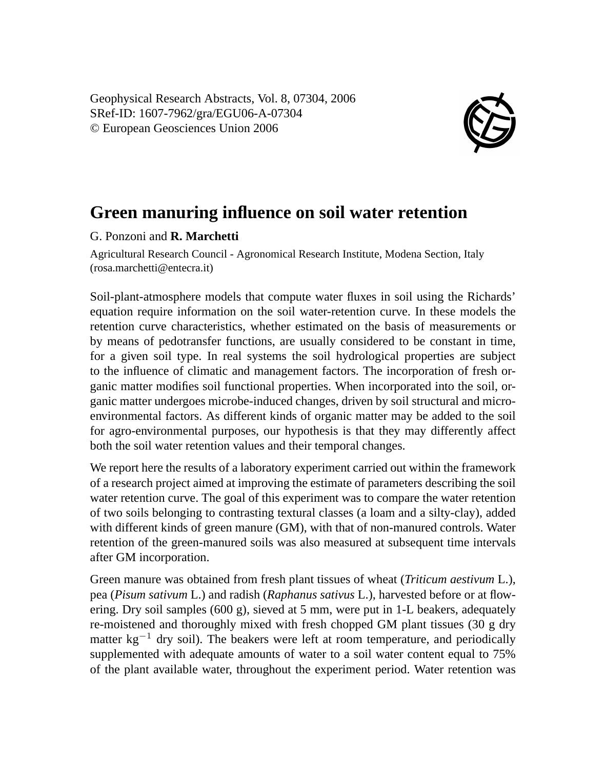Geophysical Research Abstracts, Vol. 8, 07304, 2006 SRef-ID: 1607-7962/gra/EGU06-A-07304 © European Geosciences Union 2006



## **Green manuring influence on soil water retention**

## G. Ponzoni and **R. Marchetti**

Agricultural Research Council - Agronomical Research Institute, Modena Section, Italy (rosa.marchetti@entecra.it)

Soil-plant-atmosphere models that compute water fluxes in soil using the Richards' equation require information on the soil water-retention curve. In these models the retention curve characteristics, whether estimated on the basis of measurements or by means of pedotransfer functions, are usually considered to be constant in time, for a given soil type. In real systems the soil hydrological properties are subject to the influence of climatic and management factors. The incorporation of fresh organic matter modifies soil functional properties. When incorporated into the soil, organic matter undergoes microbe-induced changes, driven by soil structural and microenvironmental factors. As different kinds of organic matter may be added to the soil for agro-environmental purposes, our hypothesis is that they may differently affect both the soil water retention values and their temporal changes.

We report here the results of a laboratory experiment carried out within the framework of a research project aimed at improving the estimate of parameters describing the soil water retention curve. The goal of this experiment was to compare the water retention of two soils belonging to contrasting textural classes (a loam and a silty-clay), added with different kinds of green manure (GM), with that of non-manured controls. Water retention of the green-manured soils was also measured at subsequent time intervals after GM incorporation.

Green manure was obtained from fresh plant tissues of wheat (*Triticum aestivum* L.), pea (*Pisum sativum* L.) and radish (*Raphanus sativus* L.), harvested before or at flowering. Dry soil samples (600 g), sieved at 5 mm, were put in 1-L beakers, adequately re-moistened and thoroughly mixed with fresh chopped GM plant tissues (30 g dry matter  $kg^{-1}$  dry soil). The beakers were left at room temperature, and periodically supplemented with adequate amounts of water to a soil water content equal to 75% of the plant available water, throughout the experiment period. Water retention was